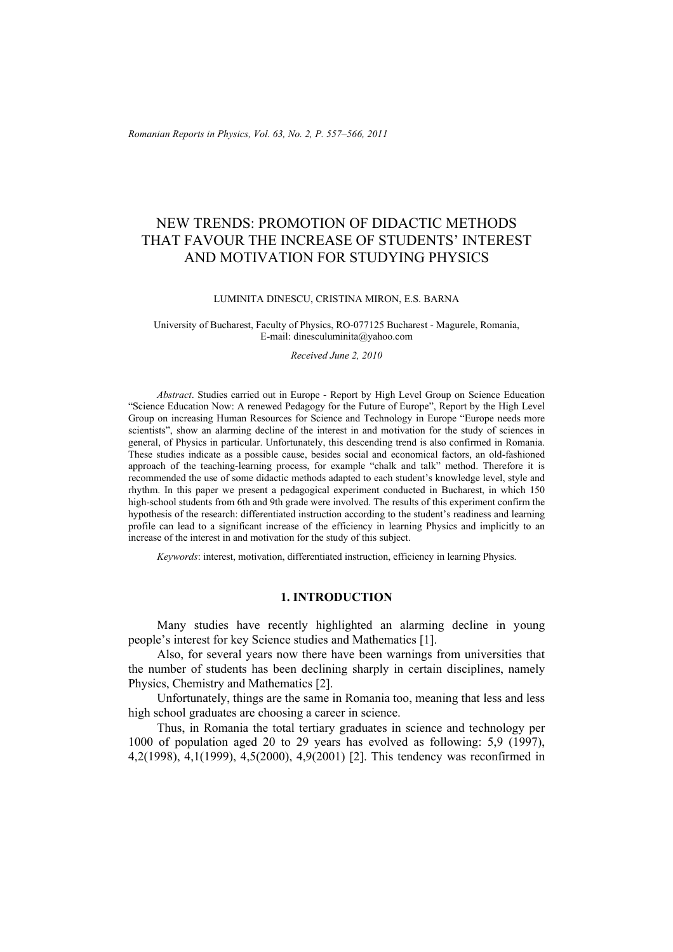*Romanian Reports in Physics, Vol. 63, No. 2, P. 557–566, 2011*

# NEW TRENDS: PROMOTION OF DIDACTIC METHODS THAT FAVOUR THE INCREASE OF STUDENTS' INTEREST AND MOTIVATION FOR STUDYING PHYSICS

#### LUMINITA DINESCU, CRISTINA MIRON, E.S. BARNA

#### University of Bucharest, Faculty of Physics, RO-077125 Bucharest - Magurele, Romania, E-mail: dinesculuminita@yahoo.com

#### *Received June 2, 2010*

*Abstract*. Studies carried out in Europe - Report by High Level Group on Science Education "Science Education Now: A renewed Pedagogy for the Future of Europe", Report by the High Level Group on increasing Human Resources for Science and Technology in Europe "Europe needs more scientists", show an alarming decline of the interest in and motivation for the study of sciences in general, of Physics in particular. Unfortunately, this descending trend is also confirmed in Romania. These studies indicate as a possible cause, besides social and economical factors, an old-fashioned approach of the teaching-learning process, for example "chalk and talk" method. Therefore it is recommended the use of some didactic methods adapted to each student's knowledge level, style and rhythm. In this paper we present a pedagogical experiment conducted in Bucharest, in which 150 high-school students from 6th and 9th grade were involved. The results of this experiment confirm the hypothesis of the research: differentiated instruction according to the student's readiness and learning profile can lead to a significant increase of the efficiency in learning Physics and implicitly to an increase of the interest in and motivation for the study of this subject.

*Keywords*: interest, motivation, differentiated instruction, efficiency in learning Physics.

#### **1. INTRODUCTION**

Many studies have recently highlighted an alarming decline in young people's interest for key Science studies and Mathematics [1].

Also, for several years now there have been warnings from universities that the number of students has been declining sharply in certain disciplines, namely Physics, Chemistry and Mathematics [2].

Unfortunately, things are the same in Romania too, meaning that less and less high school graduates are choosing a career in science.

Thus, in Romania the total tertiary graduates in science and technology per 1000 of population aged 20 to 29 years has evolved as following: 5,9 (1997), 4,2(1998), 4,1(1999), 4,5(2000), 4,9(2001) [2]. This tendency was reconfirmed in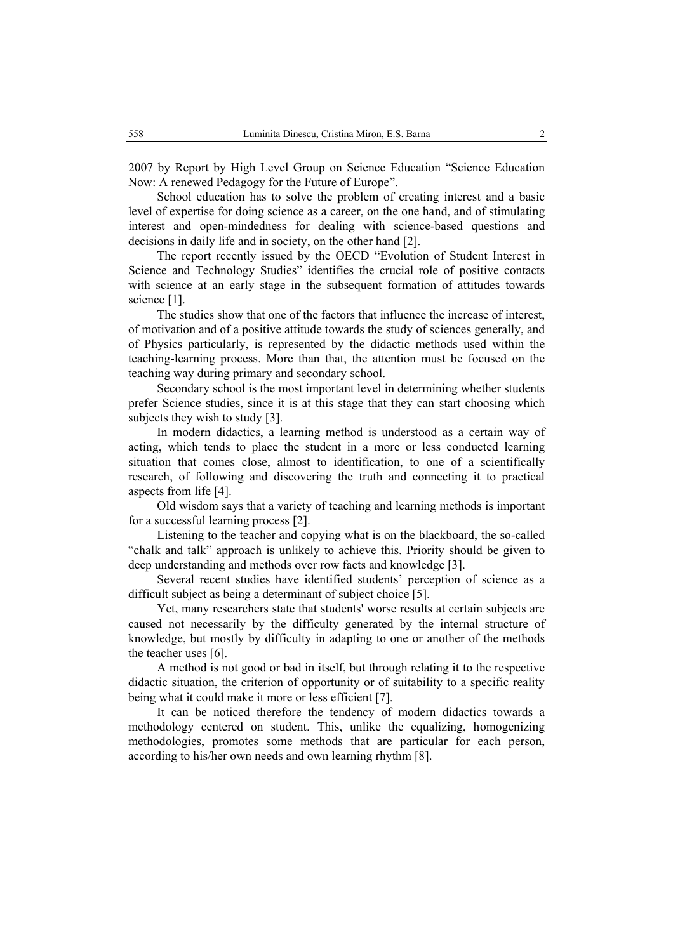2007 by Report by High Level Group on Science Education "Science Education Now: A renewed Pedagogy for the Future of Europe".

School education has to solve the problem of creating interest and a basic level of expertise for doing science as a career, on the one hand, and of stimulating interest and open-mindedness for dealing with science-based questions and decisions in daily life and in society, on the other hand [2].

The report recently issued by the OECD "Evolution of Student Interest in Science and Technology Studies" identifies the crucial role of positive contacts with science at an early stage in the subsequent formation of attitudes towards science [1].

The studies show that one of the factors that influence the increase of interest, of motivation and of a positive attitude towards the study of sciences generally, and of Physics particularly, is represented by the didactic methods used within the teaching-learning process. More than that, the attention must be focused on the teaching way during primary and secondary school.

Secondary school is the most important level in determining whether students prefer Science studies, since it is at this stage that they can start choosing which subjects they wish to study [3].

In modern didactics, a learning method is understood as a certain way of acting, which tends to place the student in a more or less conducted learning situation that comes close, almost to identification, to one of a scientifically research, of following and discovering the truth and connecting it to practical aspects from life [4].

Old wisdom says that a variety of teaching and learning methods is important for a successful learning process [2].

Listening to the teacher and copying what is on the blackboard, the so-called "chalk and talk" approach is unlikely to achieve this. Priority should be given to deep understanding and methods over row facts and knowledge [3].

Several recent studies have identified students' perception of science as a difficult subject as being a determinant of subject choice [5].

Yet, many researchers state that students' worse results at certain subjects are caused not necessarily by the difficulty generated by the internal structure of knowledge, but mostly by difficulty in adapting to one or another of the methods the teacher uses [6].

A method is not good or bad in itself, but through relating it to the respective didactic situation, the criterion of opportunity or of suitability to a specific reality being what it could make it more or less efficient [7].

It can be noticed therefore the tendency of modern didactics towards a methodology centered on student. This, unlike the equalizing, homogenizing methodologies, promotes some methods that are particular for each person, according to his/her own needs and own learning rhythm [8].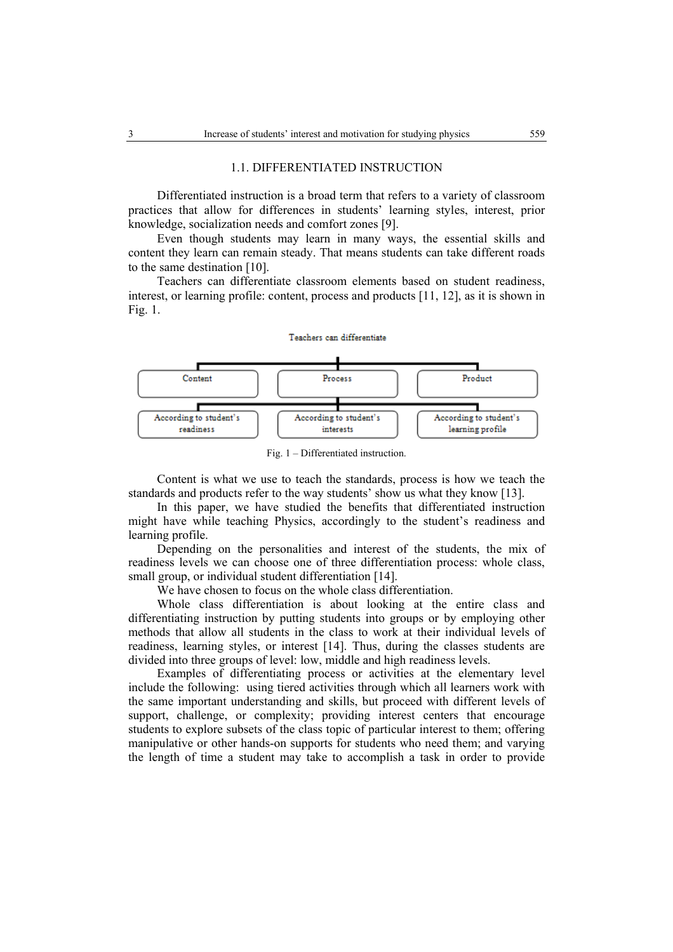#### 1.1. DIFFERENTIATED INSTRUCTION

Differentiated instruction is a broad term that refers to a variety of classroom practices that allow for differences in students' learning styles, interest, prior knowledge, socialization needs and comfort zones [9].

Even though students may learn in many ways, the essential skills and content they learn can remain steady. That means students can take different roads to the same destination [10].

Teachers can differentiate classroom elements based on student readiness, interest, or learning profile: content, process and products [11, 12], as it is shown in Fig. 1.

## Teachers can differentiate



Fig. 1 – Differentiated instruction.

Content is what we use to teach the standards, process is how we teach the standards and products refer to the way students' show us what they know [13].

In this paper, we have studied the benefits that differentiated instruction might have while teaching Physics, accordingly to the student's readiness and learning profile.

Depending on the personalities and interest of the students, the mix of readiness levels we can choose one of three differentiation process: whole class, small group, or individual student differentiation [14].

We have chosen to focus on the whole class differentiation.

Whole class differentiation is about looking at the entire class and differentiating instruction by putting students into groups or by employing other methods that allow all students in the class to work at their individual levels of readiness, learning styles, or interest [14]. Thus, during the classes students are divided into three groups of level: low, middle and high readiness levels.

Examples of differentiating process or activities at the elementary level include the following: using tiered activities through which all learners work with the same important understanding and skills, but proceed with different levels of support, challenge, or complexity; providing interest centers that encourage students to explore subsets of the class topic of particular interest to them; offering manipulative or other hands-on supports for students who need them; and varying the length of time a student may take to accomplish a task in order to provide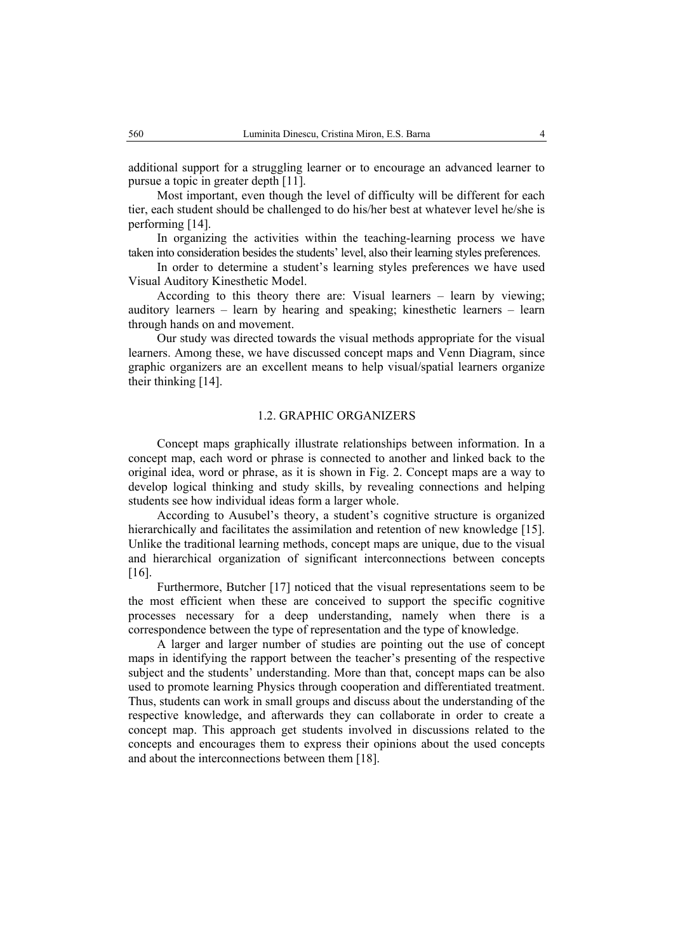additional support for a struggling learner or to encourage an advanced learner to pursue a topic in greater depth [11].

Most important, even though the level of difficulty will be different for each tier, each student should be challenged to do his/her best at whatever level he/she is performing [14].

In organizing the activities within the teaching-learning process we have taken into consideration besides the students' level, also their learning styles preferences.

In order to determine a student's learning styles preferences we have used Visual Auditory Kinesthetic Model.

According to this theory there are: Visual learners – learn by viewing; auditory learners – learn by hearing and speaking; kinesthetic learners – learn through hands on and movement.

Our study was directed towards the visual methods appropriate for the visual learners. Among these, we have discussed concept maps and Venn Diagram, since graphic organizers are an excellent means to help visual/spatial learners organize their thinking [14].

## 1.2. GRAPHIC ORGANIZERS

Concept maps graphically illustrate relationships between information. In a concept map, each word or phrase is connected to another and linked back to the original idea, word or phrase, as it is shown in Fig. 2. Concept maps are a way to develop logical thinking and study skills, by revealing connections and helping students see how individual ideas form a larger whole.

According to Ausubel's theory, a student's cognitive structure is organized hierarchically and facilitates the assimilation and retention of new knowledge [15]. Unlike the traditional learning methods, concept maps are unique, due to the visual and hierarchical organization of significant interconnections between concepts [16].

Furthermore, Butcher [17] noticed that the visual representations seem to be the most efficient when these are conceived to support the specific cognitive processes necessary for a deep understanding, namely when there is a correspondence between the type of representation and the type of knowledge.

A larger and larger number of studies are pointing out the use of concept maps in identifying the rapport between the teacher's presenting of the respective subject and the students' understanding. More than that, concept maps can be also used to promote learning Physics through cooperation and differentiated treatment. Thus, students can work in small groups and discuss about the understanding of the respective knowledge, and afterwards they can collaborate in order to create a concept map. This approach get students involved in discussions related to the concepts and encourages them to express their opinions about the used concepts and about the interconnections between them [18].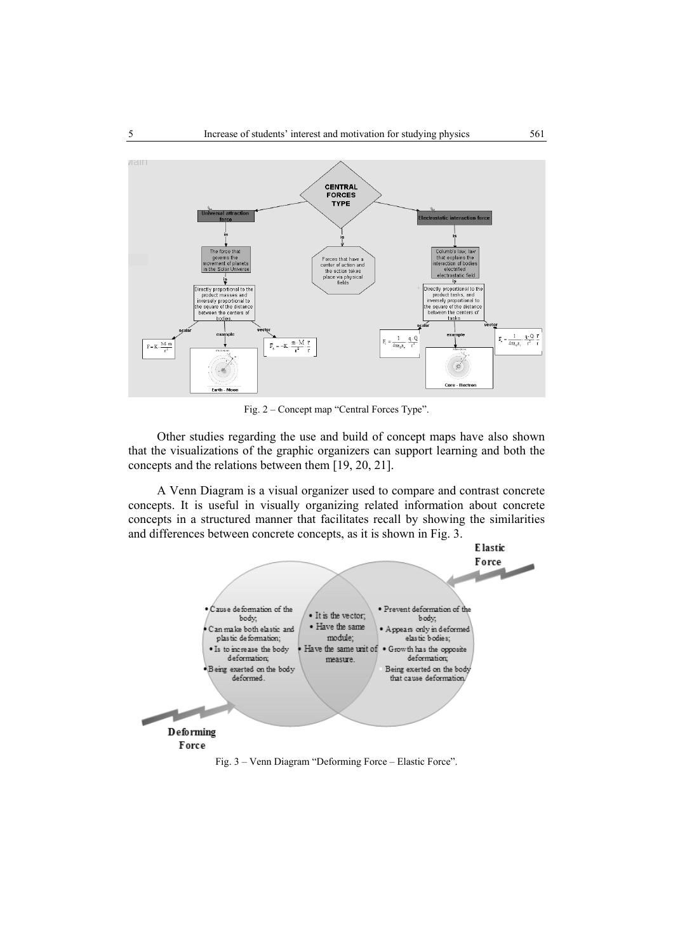

Fig. 2 – Concept map "Central Forces Type".

Other studies regarding the use and build of concept maps have also shown that the visualizations of the graphic organizers can support learning and both the concepts and the relations between them [19, 20, 21].

A Venn Diagram is a visual organizer used to compare and contrast concrete concepts. It is useful in visually organizing related information about concrete concepts in a structured manner that facilitates recall by showing the similarities and differences between concrete concepts, as it is shown in Fig. 3.



Fig. 3 – Venn Diagram "Deforming Force – Elastic Force".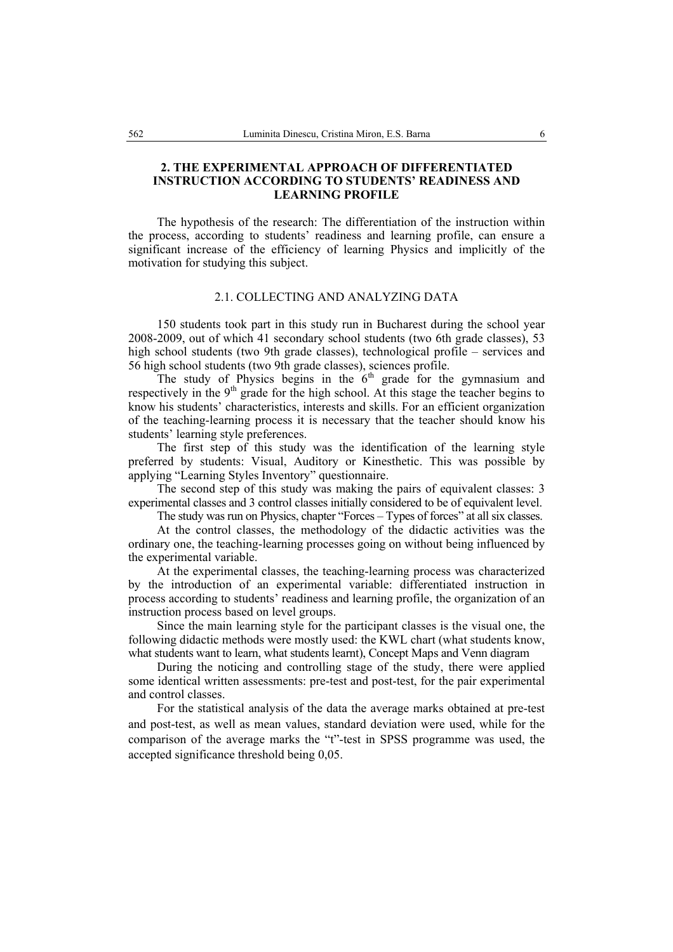## **2. THE EXPERIMENTAL APPROACH OF DIFFERENTIATED INSTRUCTION ACCORDING TO STUDENTS' READINESS AND LEARNING PROFILE**

The hypothesis of the research: The differentiation of the instruction within the process, according to students' readiness and learning profile, can ensure a significant increase of the efficiency of learning Physics and implicitly of the motivation for studying this subject.

## 2.1. COLLECTING AND ANALYZING DATA

150 students took part in this study run in Bucharest during the school year 2008-2009, out of which 41 secondary school students (two 6th grade classes), 53 high school students (two 9th grade classes), technological profile – services and 56 high school students (two 9th grade classes), sciences profile.

The study of Physics begins in the  $6<sup>th</sup>$  grade for the gymnasium and respectively in the  $9<sup>th</sup>$  grade for the high school. At this stage the teacher begins to know his students' characteristics, interests and skills. For an efficient organization of the teaching-learning process it is necessary that the teacher should know his students' learning style preferences.

The first step of this study was the identification of the learning style preferred by students: Visual, Auditory or Kinesthetic. This was possible by applying "Learning Styles Inventory" questionnaire.

The second step of this study was making the pairs of equivalent classes: 3 experimental classes and 3 control classes initially considered to be of equivalent level.

The study was run on Physics, chapter "Forces – Types of forces" at all six classes.

At the control classes, the methodology of the didactic activities was the ordinary one, the teaching-learning processes going on without being influenced by the experimental variable.

At the experimental classes, the teaching-learning process was characterized by the introduction of an experimental variable: differentiated instruction in process according to students' readiness and learning profile, the organization of an instruction process based on level groups.

Since the main learning style for the participant classes is the visual one, the following didactic methods were mostly used: the KWL chart (what students know, what students want to learn, what students learnt), Concept Maps and Venn diagram

During the noticing and controlling stage of the study, there were applied some identical written assessments: pre-test and post-test, for the pair experimental and control classes.

For the statistical analysis of the data the average marks obtained at pre-test and post-test, as well as mean values, standard deviation were used, while for the comparison of the average marks the "t"-test in SPSS programme was used, the accepted significance threshold being 0,05.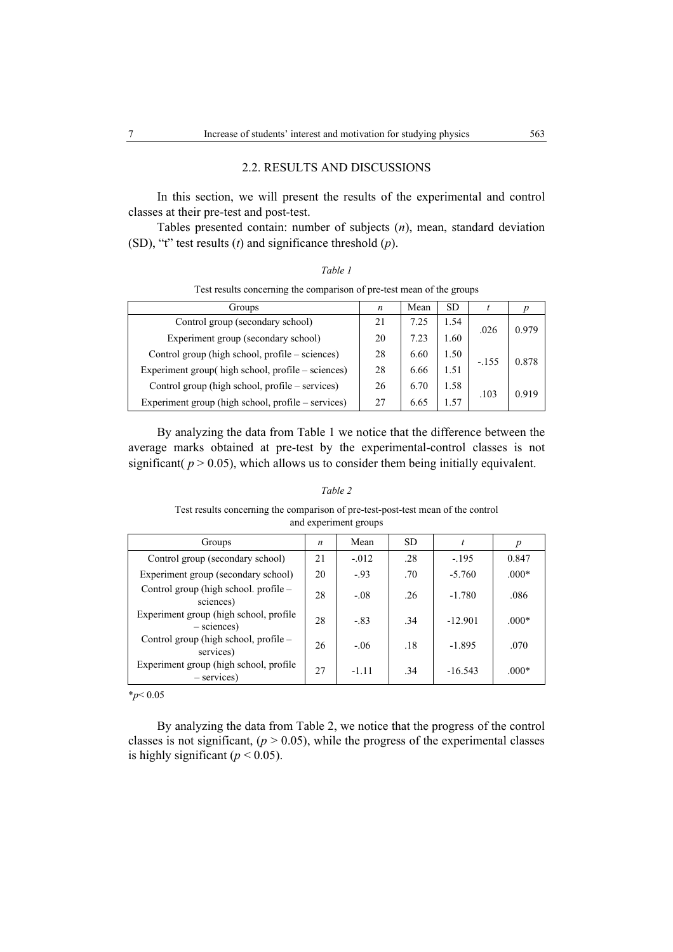### 2.2. RESULTS AND DISCUSSIONS

In this section, we will present the results of the experimental and control classes at their pre-test and post-test.

Tables presented contain: number of subjects (*n*), mean, standard deviation (SD), "t" test results (*t*) and significance threshold (*p*).

| $\mathcal{I}^r$ |  |
|-----------------|--|
|-----------------|--|

Test results concerning the comparison of pre-test mean of the groups

| Groups                                             | n  | Mean | <b>SD</b> |         |       |
|----------------------------------------------------|----|------|-----------|---------|-------|
| Control group (secondary school)                   | 21 | 7.25 | 1.54      | .026    | 0.979 |
| Experiment group (secondary school)                | 20 | 7.23 | 1.60      |         |       |
| Control group (high school, profile – sciences)    | 28 | 6.60 | 1.50      | $-.155$ | 0.878 |
| Experiment group( high school, profile – sciences) | 28 | 6.66 | 1.51      |         |       |
| Control group (high school, profile – services)    | 26 | 6.70 | 1.58      |         | 0.919 |
| Experiment group (high school, profile – services) | 27 | 6.65 | 1.57      | .103    |       |

By analyzing the data from Table 1 we notice that the difference between the average marks obtained at pre-test by the experimental-control classes is not significant( $p > 0.05$ ), which allows us to consider them being initially equivalent.

| and experiment groups                                   |    |         |           |           |         |  |
|---------------------------------------------------------|----|---------|-----------|-----------|---------|--|
| Groups                                                  | n  | Mean    | <b>SD</b> | t         | p       |  |
| Control group (secondary school)                        | 21 | $-.012$ | .28       | $-.195$   | 0.847   |  |
| Experiment group (secondary school)                     | 20 | $-.93$  | .70       | $-5.760$  | $.000*$ |  |
| Control group (high school. profile –<br>sciences)      | 28 | $-.08$  | .26       | $-1.780$  | .086    |  |
| Experiment group (high school, profile<br>$-$ sciences) | 28 | $-.83$  | .34       | $-12.901$ | $.000*$ |  |
| Control group (high school, profile –<br>services)      | 26 | $-06$   | .18       | $-1.895$  | .070    |  |
| Experiment group (high school, profile<br>$-$ services) | 27 | $-1.11$ | .34       | $-16.543$ | $.000*$ |  |

## *Table 2* Test results concerning the comparison of pre-test-post-test mean of the control

\**p*< 0.05

By analyzing the data from Table 2, we notice that the progress of the control classes is not significant,  $(p > 0.05)$ , while the progress of the experimental classes is highly significant ( $p < 0.05$ ).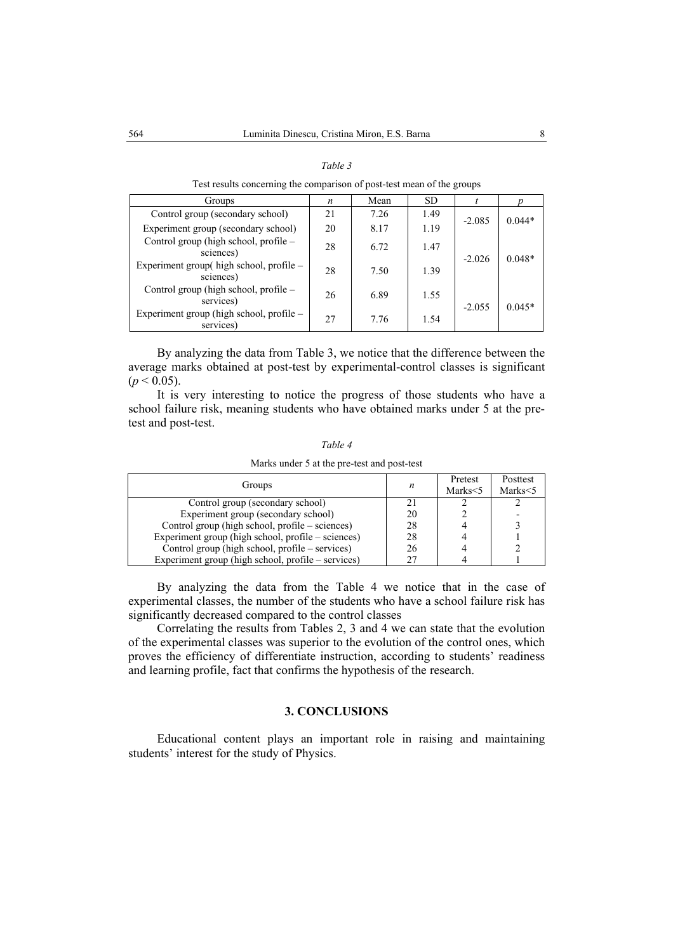| Groups                                                | n  | Mean | SD   |          |          |
|-------------------------------------------------------|----|------|------|----------|----------|
| Control group (secondary school)                      | 21 | 7.26 | 1.49 |          | $0.044*$ |
| Experiment group (secondary school)                   | 20 | 8.17 | 1.19 | $-2.085$ |          |
| Control group (high school, profile -<br>sciences)    | 28 | 6.72 | 1.47 | $-2.026$ | $0.048*$ |
| Experiment group( high school, profile -<br>sciences) | 28 | 7.50 | 1.39 |          |          |
| Control group (high school, profile –<br>services)    | 26 | 6.89 | 1.55 | $-2.055$ | $0.045*$ |
| Experiment group (high school, profile -<br>services) | 27 | 7.76 | 1.54 |          |          |

| an |
|----|
|----|

Test results concerning the comparison of post-test mean of the groups

By analyzing the data from Table 3, we notice that the difference between the average marks obtained at post-test by experimental-control classes is significant  $(p < 0.05)$ .

It is very interesting to notice the progress of those students who have a school failure risk, meaning students who have obtained marks under 5 at the pretest and post-test.

| ,<br>77 |  |
|---------|--|
|---------|--|

Marks under 5 at the pre-test and post-test

| Groups                                             | n  | Pretest<br>Marks<5 | Posttest<br>Marks <5 |
|----------------------------------------------------|----|--------------------|----------------------|
| Control group (secondary school)                   |    |                    |                      |
| Experiment group (secondary school)                | 20 |                    |                      |
| Control group (high school, profile – sciences)    | 28 |                    |                      |
| Experiment group (high school, profile – sciences) | 28 |                    |                      |
| Control group (high school, profile – services)    | 26 |                    |                      |
| Experiment group (high school, profile – services) |    |                    |                      |

By analyzing the data from the Table 4 we notice that in the case of experimental classes, the number of the students who have a school failure risk has significantly decreased compared to the control classes

Correlating the results from Tables 2, 3 and 4 we can state that the evolution of the experimental classes was superior to the evolution of the control ones, which proves the efficiency of differentiate instruction, according to students' readiness and learning profile, fact that confirms the hypothesis of the research.

### **3. CONCLUSIONS**

Educational content plays an important role in raising and maintaining students' interest for the study of Physics.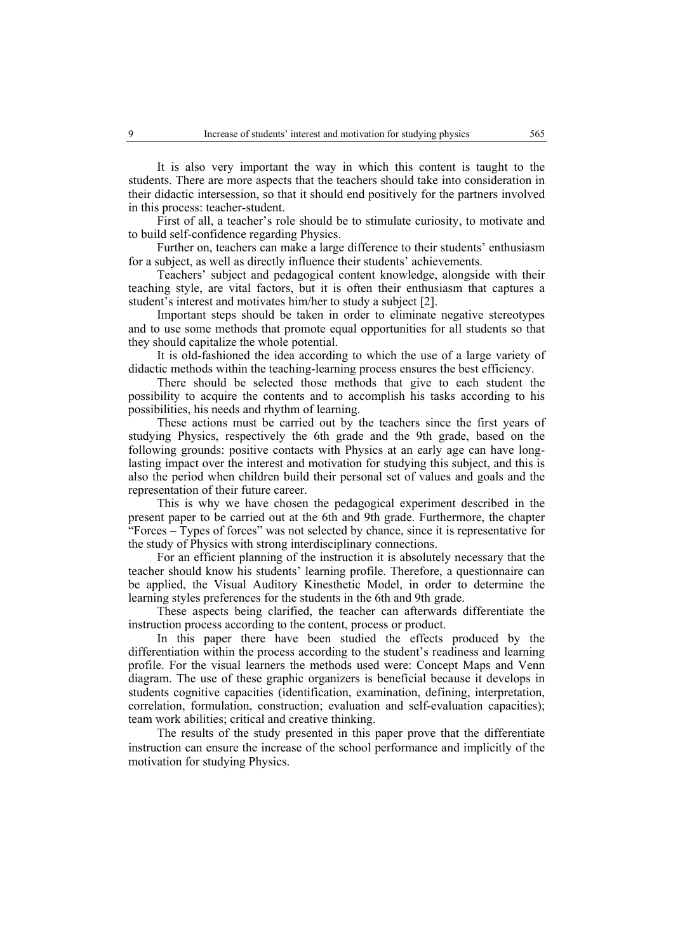It is also very important the way in which this content is taught to the students. There are more aspects that the teachers should take into consideration in their didactic intersession, so that it should end positively for the partners involved in this process: teacher-student.

First of all, a teacher's role should be to stimulate curiosity, to motivate and to build self-confidence regarding Physics.

Further on, teachers can make a large difference to their students' enthusiasm for a subject, as well as directly influence their students' achievements.

Teachers' subject and pedagogical content knowledge, alongside with their teaching style, are vital factors, but it is often their enthusiasm that captures a student's interest and motivates him/her to study a subject [2].

Important steps should be taken in order to eliminate negative stereotypes and to use some methods that promote equal opportunities for all students so that they should capitalize the whole potential.

It is old-fashioned the idea according to which the use of a large variety of didactic methods within the teaching-learning process ensures the best efficiency.

There should be selected those methods that give to each student the possibility to acquire the contents and to accomplish his tasks according to his possibilities, his needs and rhythm of learning.

These actions must be carried out by the teachers since the first years of studying Physics, respectively the 6th grade and the 9th grade, based on the following grounds: positive contacts with Physics at an early age can have longlasting impact over the interest and motivation for studying this subject, and this is also the period when children build their personal set of values and goals and the representation of their future career.

This is why we have chosen the pedagogical experiment described in the present paper to be carried out at the 6th and 9th grade. Furthermore, the chapter "Forces – Types of forces" was not selected by chance, since it is representative for the study of Physics with strong interdisciplinary connections.

For an efficient planning of the instruction it is absolutely necessary that the teacher should know his students' learning profile. Therefore, a questionnaire can be applied, the Visual Auditory Kinesthetic Model, in order to determine the learning styles preferences for the students in the 6th and 9th grade.

These aspects being clarified, the teacher can afterwards differentiate the instruction process according to the content, process or product.

In this paper there have been studied the effects produced by the differentiation within the process according to the student's readiness and learning profile. For the visual learners the methods used were: Concept Maps and Venn diagram. The use of these graphic organizers is beneficial because it develops in students cognitive capacities (identification, examination, defining, interpretation, correlation, formulation, construction; evaluation and self-evaluation capacities); team work abilities; critical and creative thinking.

The results of the study presented in this paper prove that the differentiate instruction can ensure the increase of the school performance and implicitly of the motivation for studying Physics.